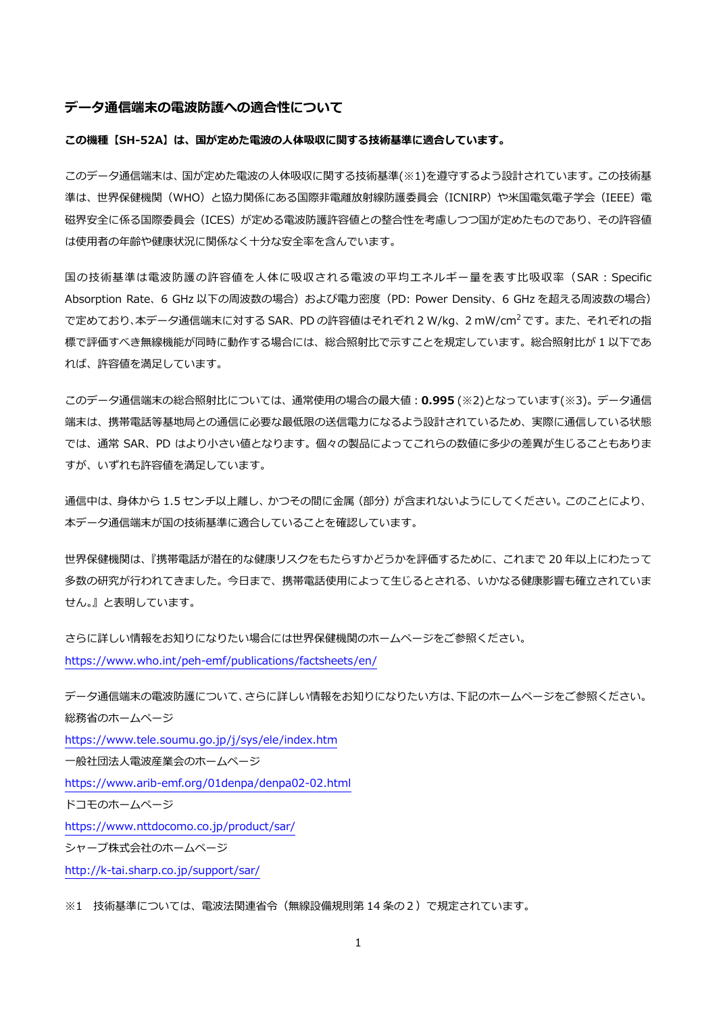### **データ通信端末の電波防護への適合性について**

#### **この機種【SH-52A】は、国が定めた電波の⼈体吸収に関する技術基準に適合しています。**

このデータ通信端末は、国が定めた電波の人体吸収に関する技術基準(※1)を遵守するよう設計されています。この技術基 準は、世界保健機関(WHO)と協力関係にある国際非電離放射線防護委員会 (ICNIRP) や米国電気電子学会 (IEEE) 電 磁界安全に係る国際委員会(ICES)が定める電波防護許容値との整合性を考慮しつつ国が定めたものであり、その許容値 は使用者の年齢や健康状況に関係なく十分な安全率を含んでいます。

国の技術基準は電波防護の許容値を人体に吸収される電波の平均エネルギー量を表す比吸収率(SAR: Specific Absorption Rate、6 GHz 以下の周波数の場合)および電力密度 (PD: Power Density、6 GHz を超える周波数の場合) で定めており、本データ通信端末に対する SAR、PD の許容値はそれぞれ 2 W/kg、2 mW/cm2です。また、それぞれの指 標で評価すべき無線機能が同時に動作する場合には、総合照射比で示すことを規定しています。総合照射比が 1 以下であ れば、許容値を満⾜しています。

このデータ通信端末の総合照射比については、通常使用の場合の最大値: 0.995 (※2)となっています(※3)。データ通信 端末は、携帯電話等基地局との通信に必要な最低限の送信電力になるよう設計されているため、実際に通信している状態 では、通常 SAR、PD はより⼩さい値となります。個々の製品によってこれらの数値に多少の差異が⽣じることもありま すが、いずれも許容値を満⾜しています。

通信中は、身体から 1.5 センチ以上離し、かつその間に金属 (部分) が含まれないようにしてください。このことにより、 本データ通信端末が国の技術基準に適合していることを確認しています。

世界保健機関は、『携帯電話が潜在的な健康リスクをもたらすかどうかを評価するために、これまで 20 年以上にわたって 多数の研究が行われてきました。今日まで、携帯電話使用によって生じるとされる、いかなる健康影響も確立されていま せん。』と表明しています。

さらに詳しい情報をお知りになりたい場合には世界保健機関のホームページをご参照ください。 https://www.who.int/peh-emf/publications/factsheets/en/

データ通信端末の電波防護について、さらに詳しい情報をお知りになりたい⽅は、下記のホームページをご参照ください。 総務省のホームページ https://www.tele.soumu.go.jp/j/sys/ele/index.htm

⼀般社団法⼈電波産業会のホームページ https://www.arib-emf.org/01denpa/denpa02-02.html ドコモのホームページ https://www.nttdocomo.co.jp/product/sar/ シャープ株式会社のホームページ

http://k-tai.sharp.co.jp/support/sar/

※1 技術基準については、電波法関連省令(無線設備規則第 14 条の2)で規定されています。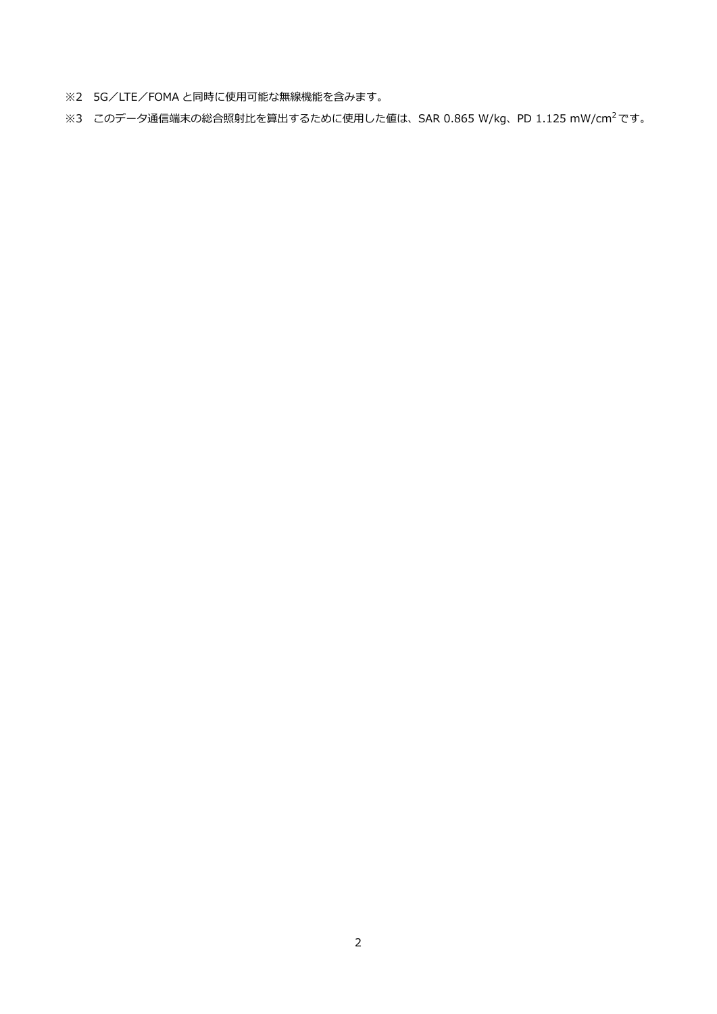- ※2 5G/LTE/FOMA と同時に使用可能な無線機能を含みます。
- ※3 このデータ通信端末の総合照射比を算出するために使用した値は、SAR 0.865 W/kg、PD 1.125 mW/cm<sup>2</sup>です。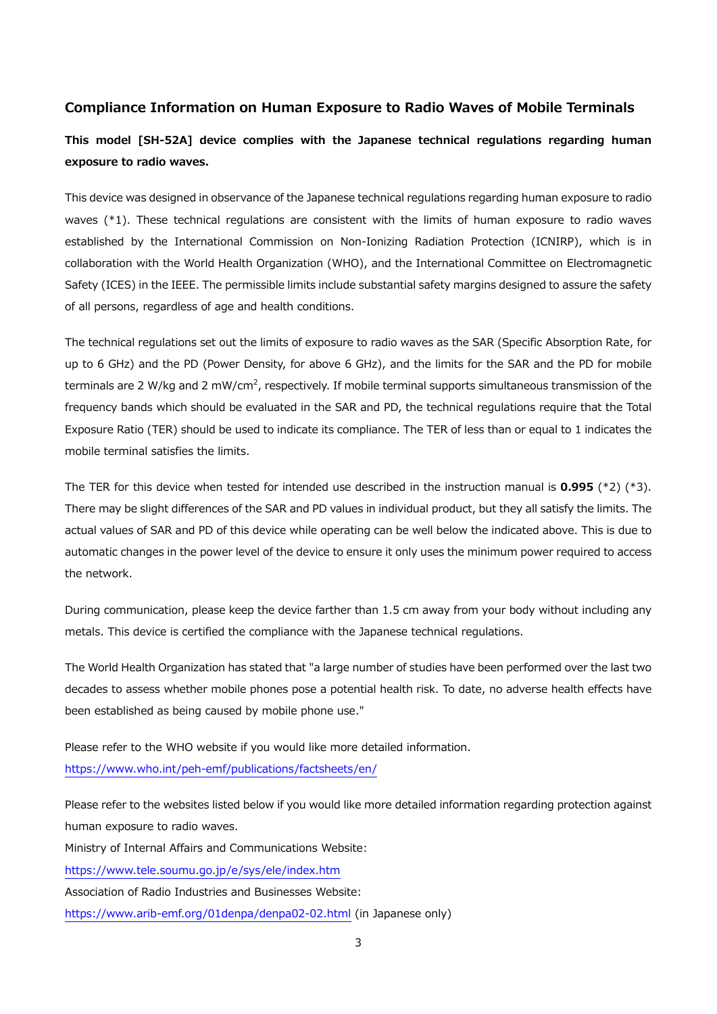## **Compliance Information on Human Exposure to Radio Waves of Mobile Terminals**

# **This model [SH-52A] device complies with the Japanese technical regulations regarding human exposure to radio waves.**

This device was designed in observance of the Japanese technical regulations regarding human exposure to radio waves (\*1). These technical regulations are consistent with the limits of human exposure to radio waves established by the International Commission on Non-Ionizing Radiation Protection (ICNIRP), which is in collaboration with the World Health Organization (WHO), and the International Committee on Electromagnetic Safety (ICES) in the IEEE. The permissible limits include substantial safety margins designed to assure the safety of all persons, regardless of age and health conditions.

The technical regulations set out the limits of exposure to radio waves as the SAR (Specific Absorption Rate, for up to 6 GHz) and the PD (Power Density, for above 6 GHz), and the limits for the SAR and the PD for mobile terminals are 2 W/kg and 2 mW/cm<sup>2</sup>, respectively. If mobile terminal supports simultaneous transmission of the frequency bands which should be evaluated in the SAR and PD, the technical regulations require that the Total Exposure Ratio (TER) should be used to indicate its compliance. The TER of less than or equal to 1 indicates the mobile terminal satisfies the limits.

The TER for this device when tested for intended use described in the instruction manual is **0.995** (\*2) (\*3). There may be slight differences of the SAR and PD values in individual product, but they all satisfy the limits. The actual values of SAR and PD of this device while operating can be well below the indicated above. This is due to automatic changes in the power level of the device to ensure it only uses the minimum power required to access the network.

During communication, please keep the device farther than 1.5 cm away from your body without including any metals. This device is certified the compliance with the Japanese technical regulations.

The World Health Organization has stated that "a large number of studies have been performed over the last two decades to assess whether mobile phones pose a potential health risk. To date, no adverse health effects have been established as being caused by mobile phone use."

Please refer to the WHO website if you would like more detailed information. https://www.who.int/peh-emf/publications/factsheets/en/

Please refer to the websites listed below if you would like more detailed information regarding protection against human exposure to radio waves.

Ministry of Internal Affairs and Communications Website:

https://www.tele.soumu.go.jp/e/sys/ele/index.htm

Association of Radio Industries and Businesses Website:

https://www.arib-emf.org/01denpa/denpa02-02.html (in Japanese only)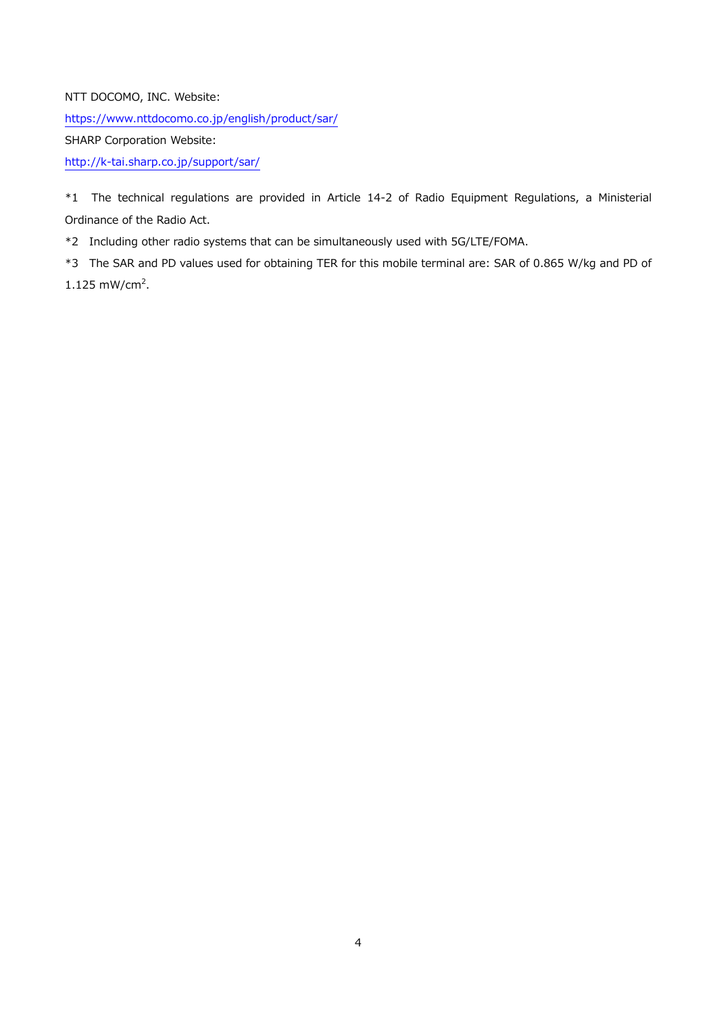NTT DOCOMO, INC. Website:

https://www.nttdocomo.co.jp/english/product/sar/

SHARP Corporation Website:

http://k-tai.sharp.co.jp/support/sar/

\*1 The technical regulations are provided in Article 14-2 of Radio Equipment Regulations, a Ministerial Ordinance of the Radio Act.

\*2 Including other radio systems that can be simultaneously used with 5G/LTE/FOMA.

\*3 The SAR and PD values used for obtaining TER for this mobile terminal are: SAR of 0.865 W/kg and PD of 1.125 mW/cm<sup>2</sup>.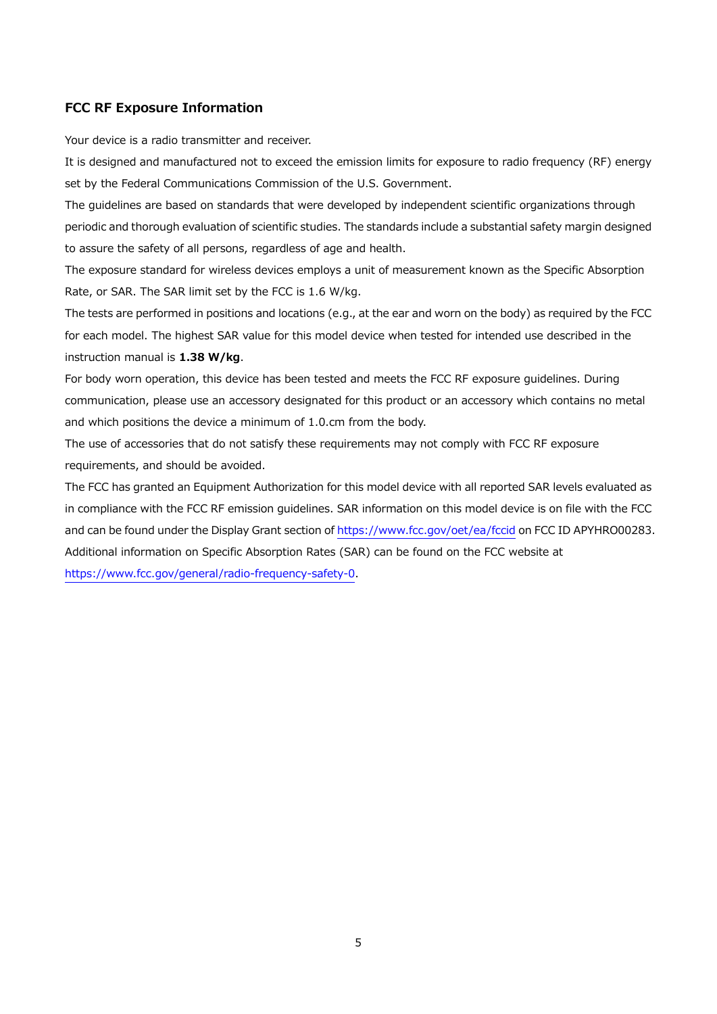### **FCC RF Exposure Information**

Your device is a radio transmitter and receiver.

It is designed and manufactured not to exceed the emission limits for exposure to radio frequency (RF) energy set by the Federal Communications Commission of the U.S. Government.

The guidelines are based on standards that were developed by independent scientific organizations through periodic and thorough evaluation of scientific studies. The standards include a substantial safety margin designed to assure the safety of all persons, regardless of age and health.

The exposure standard for wireless devices employs a unit of measurement known as the Specific Absorption Rate, or SAR. The SAR limit set by the FCC is 1.6 W/kg.

The tests are performed in positions and locations (e.g., at the ear and worn on the body) as required by the FCC for each model. The highest SAR value for this model device when tested for intended use described in the instruction manual is **1.38 W/kg**.

For body worn operation, this device has been tested and meets the FCC RF exposure guidelines. During communication, please use an accessory designated for this product or an accessory which contains no metal and which positions the device a minimum of 1.0.cm from the body.

The use of accessories that do not satisfy these requirements may not comply with FCC RF exposure requirements, and should be avoided.

The FCC has granted an Equipment Authorization for this model device with all reported SAR levels evaluated as in compliance with the FCC RF emission guidelines. SAR information on this model device is on file with the FCC and can be found under the Display Grant section of https://www.fcc.gov/oet/ea/fccid on FCC ID APYHRO00283. Additional information on Specific Absorption Rates (SAR) can be found on the FCC website at https://www.fcc.gov/general/radio-frequency-safety-0.